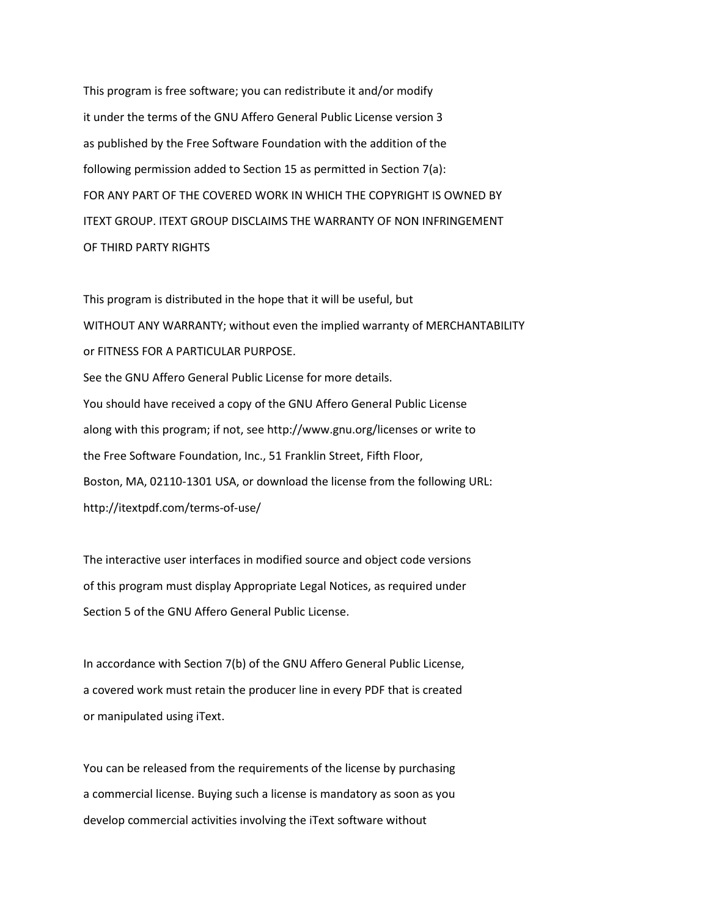This program is free software; you can redistribute it and/or modify it under the terms of the GNU Affero General Public License version 3 as published by the Free Software Foundation with the addition of the following permission added to Section 15 as permitted in Section 7(a): FOR ANY PART OF THE COVERED WORK IN WHICH THE COPYRIGHT IS OWNED BY ITEXT GROUP. ITEXT GROUP DISCLAIMS THE WARRANTY OF NON INFRINGEMENT OF THIRD PARTY RIGHTS

This program is distributed in the hope that it will be useful, but WITHOUT ANY WARRANTY; without even the implied warranty of MERCHANTABILITY or FITNESS FOR A PARTICULAR PURPOSE. See the GNU Affero General Public License for more details. You should have received a copy of the GNU Affero General Public License along with this program; if not, see http://www.gnu.org/licenses or write to the Free Software Foundation, Inc., 51 Franklin Street, Fifth Floor, Boston, MA, 02110-1301 USA, or download the license from the following URL: http://itextpdf.com/terms-of-use/

The interactive user interfaces in modified source and object code versions of this program must display Appropriate Legal Notices, as required under Section 5 of the GNU Affero General Public License.

In accordance with Section 7(b) of the GNU Affero General Public License, a covered work must retain the producer line in every PDF that is created or manipulated using iText.

You can be released from the requirements of the license by purchasing a commercial license. Buying such a license is mandatory as soon as you develop commercial activities involving the iText software without